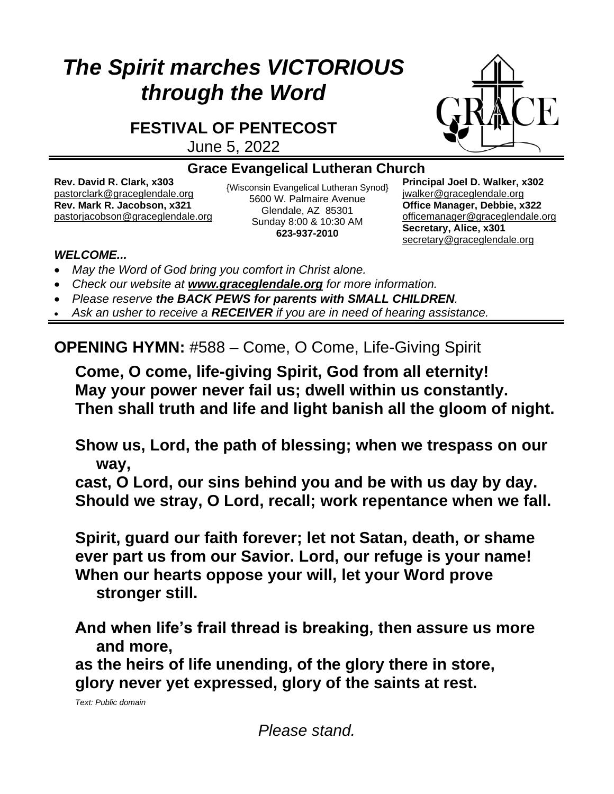# *The Spirit marches VICTORIOUS through the Word*

**FESTIVAL OF PENTECOST**

June 5, 2022



#### **Grace Evangelical Lutheran Church**

**Rev. David R. Clark, x303** [pastorclark@graceglendale.org](mailto:pastorclark@graceglendale.org) {Wisconsin Evangelical Lutheran Synod}<br>pastorclark@graceglendale.org FEOO W. Polmoire Avanua **Rev. Mark R. Jacobson, x321** [pastorjacobson@graceglendale.org](mailto:pastorjacobson@graceglendale.org)

5600 W. Palmaire Avenue Glendale, AZ 85301 Sunday 8:00 & 10:30 AM **623-937-2010**

**Principal Joel D. Walker, x302** jwalke[r@graceglendale.org](mailto:ejfredrich@graceglendale.org) **Office Manager, Debbie, x322** [officemanager@graceglendale.org](mailto:officemanager@graceglendale.org) **Secretary, Alice, x301** [secretary@graceglendale.org](mailto:secretary@graceglendale.org)

#### *WELCOME...*

- *May the Word of God bring you comfort in Christ alone.*
- *Check our website at [www.graceglendale.org](http://www.graceglendale.org/) for more information.*
- *Please reserve the BACK PEWS for parents with SMALL CHILDREN.*
- *Ask an usher to receive a RECEIVER if you are in need of hearing assistance.*

**OPENING HYMN:** #588 – Come, O Come, Life-Giving Spirit

**Come, O come, life-giving Spirit, God from all eternity! May your power never fail us; dwell within us constantly. Then shall truth and life and light banish all the gloom of night.**

**Show us, Lord, the path of blessing; when we trespass on our way,**

**cast, O Lord, our sins behind you and be with us day by day. Should we stray, O Lord, recall; work repentance when we fall.**

**Spirit, guard our faith forever; let not Satan, death, or shame ever part us from our Savior. Lord, our refuge is your name! When our hearts oppose your will, let your Word prove stronger still.**

**And when life's frail thread is breaking, then assure us more and more,**

**as the heirs of life unending, of the glory there in store, glory never yet expressed, glory of the saints at rest.**

*Text: Public domain*

*Please stand.*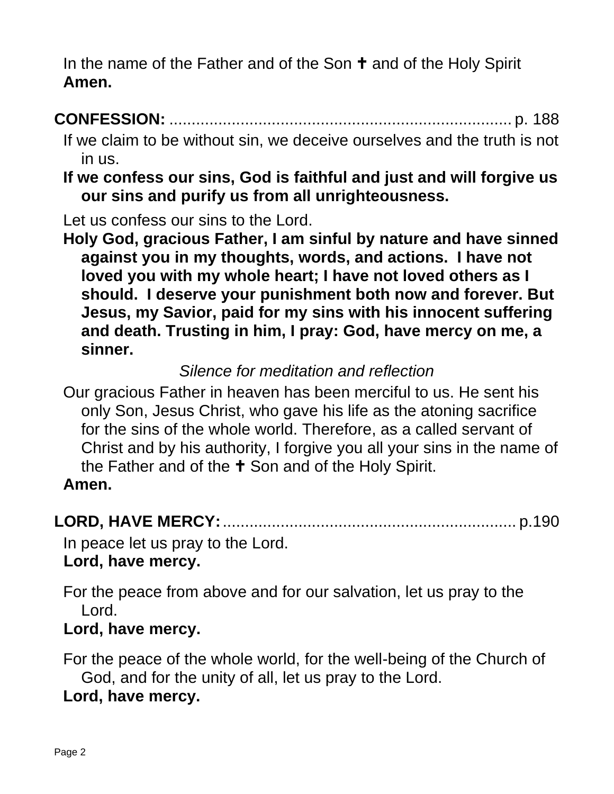In the name of the Father and of the Son  $\dagger$  and of the Holy Spirit **Amen.**

# **CONFESSION:** ............................................................................. p. 188

- If we claim to be without sin, we deceive ourselves and the truth is not in us.
- **If we confess our sins, God is faithful and just and will forgive us our sins and purify us from all unrighteousness.**

Let us confess our sins to the Lord.

**Holy God, gracious Father, I am sinful by nature and have sinned against you in my thoughts, words, and actions. I have not loved you with my whole heart; I have not loved others as I should. I deserve your punishment both now and forever. But Jesus, my Savior, paid for my sins with his innocent suffering and death. Trusting in him, I pray: God, have mercy on me, a sinner.**

# *Silence for meditation and reflection*

Our gracious Father in heaven has been merciful to us. He sent his only Son, Jesus Christ, who gave his life as the atoning sacrifice for the sins of the whole world. Therefore, as a called servant of Christ and by his authority, I forgive you all your sins in the name of the Father and of the  $\pm$  Son and of the Holy Spirit.

#### **Amen.**

# **LORD, HAVE MERCY:**.................................................................. p.190

In peace let us pray to the Lord. **Lord, have mercy.**

For the peace from above and for our salvation, let us pray to the Lord.

### **Lord, have mercy.**

For the peace of the whole world, for the well-being of the Church of God, and for the unity of all, let us pray to the Lord.

**Lord, have mercy.**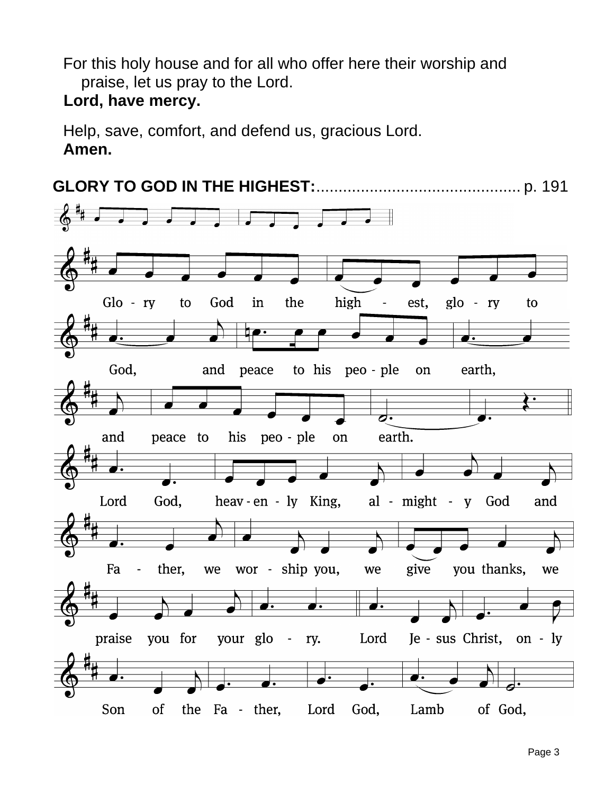For this holy house and for all who offer here their worship and praise, let us pray to the Lord.

### **Lord, have mercy.**

Help, save, comfort, and defend us, gracious Lord. **Amen.**

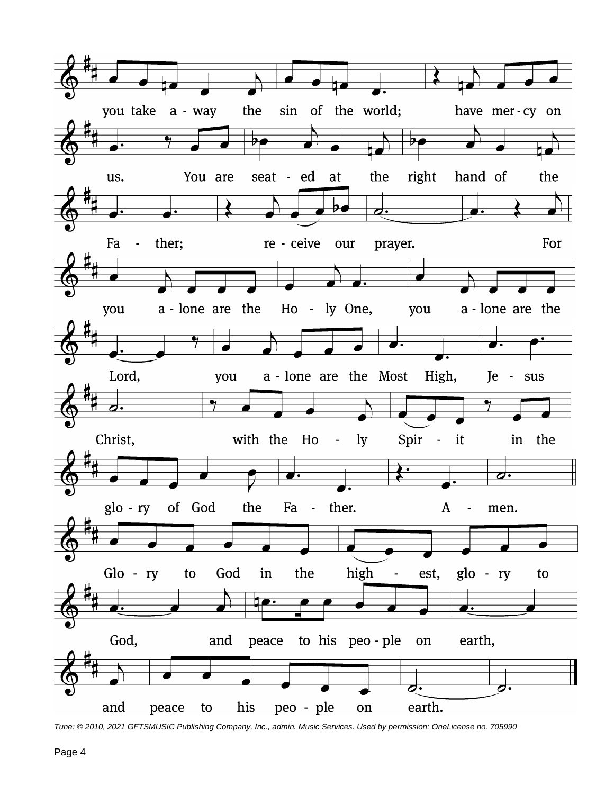

*Tune: © 2010, 2021 GFTSMUSIC Publishing Company, Inc., admin. Music Services. Used by permission: OneLicense no. 705990*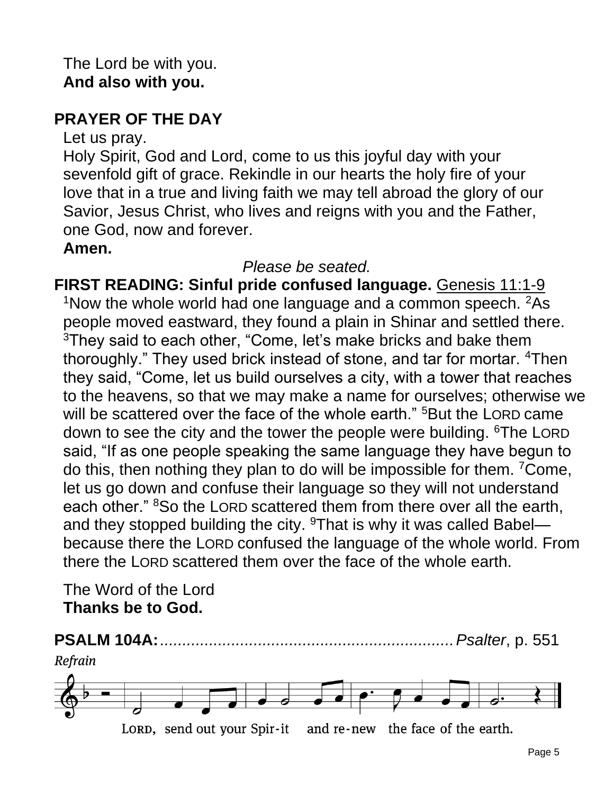# **PRAYER OF THE DAY**

Let us pray.

Holy Spirit, God and Lord, come to us this joyful day with your sevenfold gift of grace. Rekindle in our hearts the holy fire of your love that in a true and living faith we may tell abroad the glory of our Savior, Jesus Christ, who lives and reigns with you and the Father, one God, now and forever.

#### **Amen.**

# *Please be seated.*

**FIRST READING: Sinful pride confused language.** Genesis 11:1-9 <sup>1</sup>Now the whole world had one language and a common speech.  $2$ As people moved eastward, they found a plain in Shinar and settled there. <sup>3</sup>They said to each other, "Come, let's make bricks and bake them thoroughly." They used brick instead of stone, and tar for mortar. <sup>4</sup>Then they said, "Come, let us build ourselves a city, with a tower that reaches to the heavens, so that we may make a name for ourselves; otherwise we will be scattered over the face of the whole earth." <sup>5</sup>But the LORD came down to see the city and the tower the people were building. <sup>6</sup>The LORD said, "If as one people speaking the same language they have begun to do this, then nothing they plan to do will be impossible for them. <sup>7</sup>Come, let us go down and confuse their language so they will not understand each other." <sup>8</sup>So the LORD scattered them from there over all the earth, and they stopped building the city.  $9$ That is why it was called Babel because there the LORD confused the language of the whole world. From there the LORD scattered them over the face of the whole earth.

The Word of the Lord **Thanks be to God.**

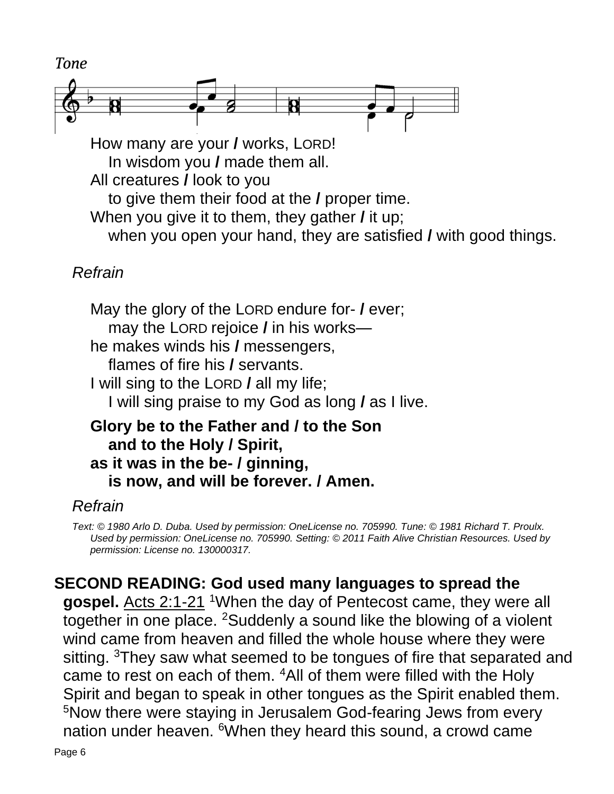

In wisdom you **/** made them all. All creatures **/** look to you to give them their food at the **/** proper time. When you give it to them, they gather **/** it up; when you open your hand, they are satisfied **/** with good things.

# *Refrain*

May the glory of the LORD endure for- **/** ever; may the LORD rejoice **/** in his works he makes winds his **/** messengers, flames of fire his **/** servants. I will sing to the LORD **/** all my life; I will sing praise to my God as long **/** as I live.

## **Glory be to the Father and / to the Son and to the Holy / Spirit, as it was in the be- / ginning, is now, and will be forever. / Amen.**

### *Refrain*

*Text: © 1980 Arlo D. Duba. Used by permission: OneLicense no. 705990. Tune: © 1981 Richard T. Proulx. Used by permission: OneLicense no. 705990. Setting: © 2011 Faith Alive Christian Resources. Used by permission: License no. 130000317.*

# **SECOND READING: God used many languages to spread the**

gospel. Acts 2:1-21 <sup>1</sup>When the day of Pentecost came, they were all together in one place. <sup>2</sup>Suddenly a sound like the blowing of a violent wind came from heaven and filled the whole house where they were sitting. <sup>3</sup>They saw what seemed to be tongues of fire that separated and came to rest on each of them. <sup>4</sup>All of them were filled with the Holy Spirit and began to speak in other tongues as the Spirit enabled them. <sup>5</sup>Now there were staying in Jerusalem God-fearing Jews from every nation under heaven. <sup>6</sup>When they heard this sound, a crowd came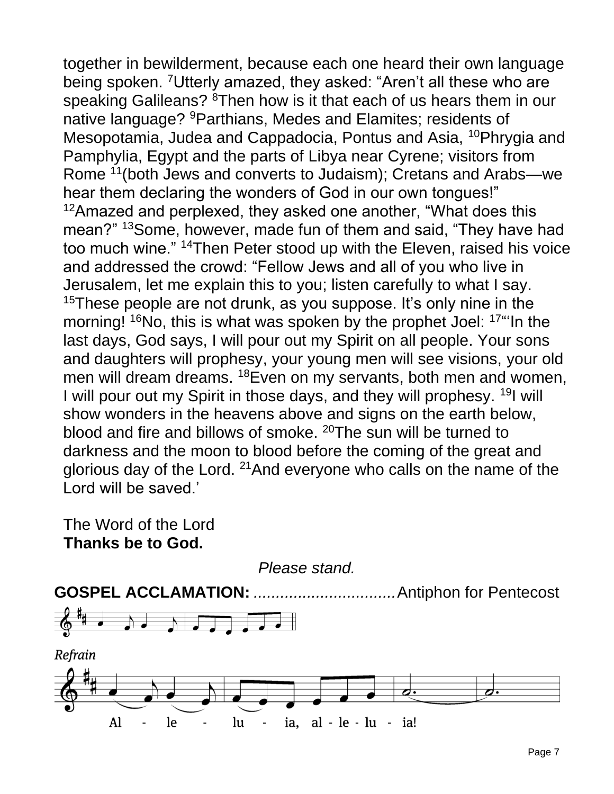together in bewilderment, because each one heard their own language being spoken. <sup>7</sup>Utterly amazed, they asked: "Aren't all these who are speaking Galileans? <sup>8</sup>Then how is it that each of us hears them in our native language? <sup>9</sup>Parthians, Medes and Elamites; residents of Mesopotamia, Judea and Cappadocia, Pontus and Asia, <sup>10</sup>Phrygia and Pamphylia, Egypt and the parts of Libya near Cyrene; visitors from Rome <sup>11</sup>(both Jews and converts to Judaism); Cretans and Arabs—we hear them declaring the wonders of God in our own tongues!" <sup>12</sup>Amazed and perplexed, they asked one another, "What does this mean?" <sup>13</sup>Some, however, made fun of them and said, "They have had too much wine." <sup>14</sup>Then Peter stood up with the Eleven, raised his voice and addressed the crowd: "Fellow Jews and all of you who live in Jerusalem, let me explain this to you; listen carefully to what I say. <sup>15</sup>These people are not drunk, as you suppose. It's only nine in the morning! <sup>16</sup>No, this is what was spoken by the prophet Joel: <sup>17</sup> the last days, God says, I will pour out my Spirit on all people. Your sons and daughters will prophesy, your young men will see visions, your old men will dream dreams. <sup>18</sup>Even on my servants, both men and women, I will pour out my Spirit in those days, and they will prophesy. <sup>19</sup>I will show wonders in the heavens above and signs on the earth below, blood and fire and billows of smoke. <sup>20</sup>The sun will be turned to darkness and the moon to blood before the coming of the great and glorious day of the Lord. <sup>21</sup> And everyone who calls on the name of the Lord will be saved.'

The Word of the Lord **Thanks be to God.**

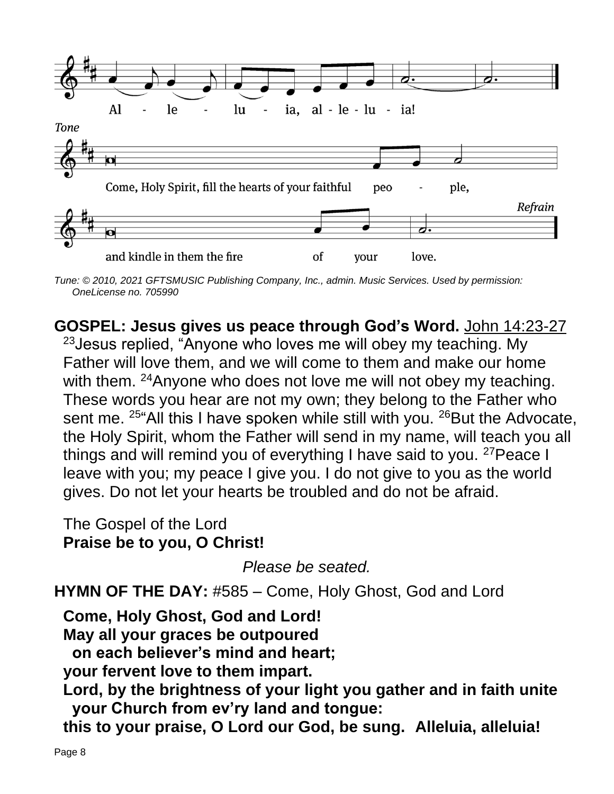

*Tune: © 2010, 2021 GFTSMUSIC Publishing Company, Inc., admin. Music Services. Used by permission: OneLicense no. 705990*

**GOSPEL: Jesus gives us peace through God's Word.** John 14:23-27 <sup>23</sup> Jesus replied, "Anyone who loves me will obey my teaching. My Father will love them, and we will come to them and make our home with them. <sup>24</sup>Anyone who does not love me will not obey my teaching. These words you hear are not my own; they belong to the Father who sent me.  $25^{\circ}$ All this I have spoken while still with you.  $26$ But the Advocate, the Holy Spirit, whom the Father will send in my name, will teach you all things and will remind you of everything I have said to you.  $27$  Peace I leave with you; my peace I give you. I do not give to you as the world gives. Do not let your hearts be troubled and do not be afraid.

The Gospel of the Lord **Praise be to you, O Christ!**

*Please be seated.*

**HYMN OF THE DAY:** #585 – Come, Holy Ghost, God and Lord

**Come, Holy Ghost, God and Lord! May all your graces be outpoured on each believer's mind and heart; your fervent love to them impart.**

**Lord, by the brightness of your light you gather and in faith unite your Church from ev'ry land and tongue:**

**this to your praise, O Lord our God, be sung. Alleluia, alleluia!**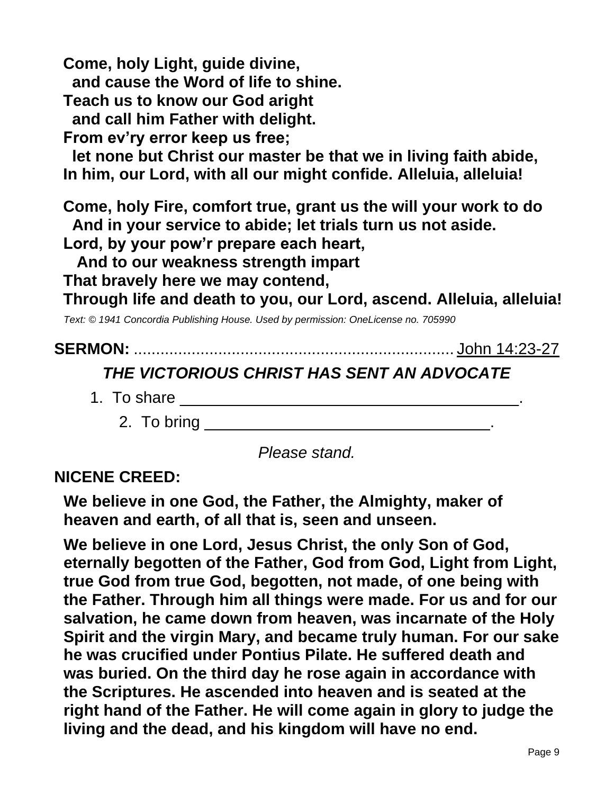**Come, holy Light, guide divine,**

**and cause the Word of life to shine.**

**Teach us to know our God aright**

**and call him Father with delight.**

**From ev'ry error keep us free;**

**let none but Christ our master be that we in living faith abide, In him, our Lord, with all our might confide. Alleluia, alleluia!**

**Come, holy Fire, comfort true, grant us the will your work to do And in your service to abide; let trials turn us not aside.**

**Lord, by your pow'r prepare each heart,**

**And to our weakness strength impart**

**That bravely here we may contend,**

**Through life and death to you, our Lord, ascend. Alleluia, alleluia!**

*Text: © 1941 Concordia Publishing House. Used by permission: OneLicense no. 705990*

# **SERMON:** ........................................................................ John 14:23-27

# *THE VICTORIOUS CHRIST HAS SENT AN ADVOCATE*

1. To share \_\_\_\_\_\_\_\_\_\_\_\_\_\_\_\_\_\_\_\_\_\_\_\_\_\_\_\_\_\_\_\_\_\_\_\_\_\_.

2. To bring \_\_\_\_\_\_\_\_\_\_\_\_\_\_\_\_\_\_\_\_\_\_\_\_\_\_\_\_\_\_\_\_.

*Please stand.*

# **NICENE CREED:**

**We believe in one God, the Father, the Almighty, maker of heaven and earth, of all that is, seen and unseen.**

**We believe in one Lord, Jesus Christ, the only Son of God, eternally begotten of the Father, God from God, Light from Light, true God from true God, begotten, not made, of one being with the Father. Through him all things were made. For us and for our salvation, he came down from heaven, was incarnate of the Holy Spirit and the virgin Mary, and became truly human. For our sake he was crucified under Pontius Pilate. He suffered death and was buried. On the third day he rose again in accordance with the Scriptures. He ascended into heaven and is seated at the right hand of the Father. He will come again in glory to judge the living and the dead, and his kingdom will have no end.**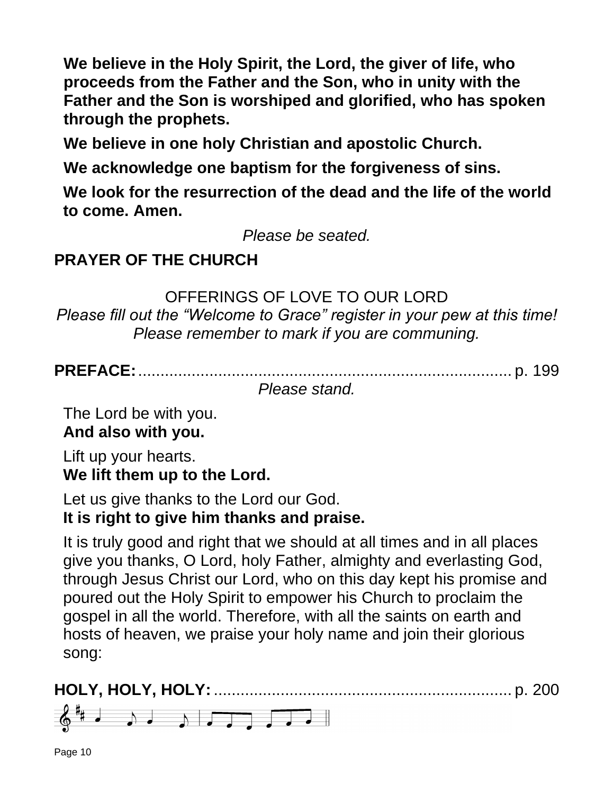**We believe in the Holy Spirit, the Lord, the giver of life, who proceeds from the Father and the Son, who in unity with the Father and the Son is worshiped and glorified, who has spoken through the prophets.**

**We believe in one holy Christian and apostolic Church.**

**We acknowledge one baptism for the forgiveness of sins.**

**We look for the resurrection of the dead and the life of the world to come. Amen.**

*Please be seated.*

# **PRAYER OF THE CHURCH**

### OFFERINGS OF LOVE TO OUR LORD

*Please fill out the "Welcome to Grace" register in your pew at this time! Please remember to mark if you are communing.*

**PREFACE:**.................................................................................... p. 199

*Please stand.*

The Lord be with you. **And also with you.**

Lift up your hearts. **We lift them up to the Lord.**

Let us give thanks to the Lord our God.

# **It is right to give him thanks and praise.**

It is truly good and right that we should at all times and in all places give you thanks, O Lord, holy Father, almighty and everlasting God, through Jesus Christ our Lord, who on this day kept his promise and poured out the Holy Spirit to empower his Church to proclaim the gospel in all the world. Therefore, with all the saints on earth and hosts of heaven, we praise your holy name and join their glorious song:

**HOLY, HOLY, HOLY:** ................................................................... p. 200 $6$ <sup>#</sup> d d d d  $\sqrt{2}$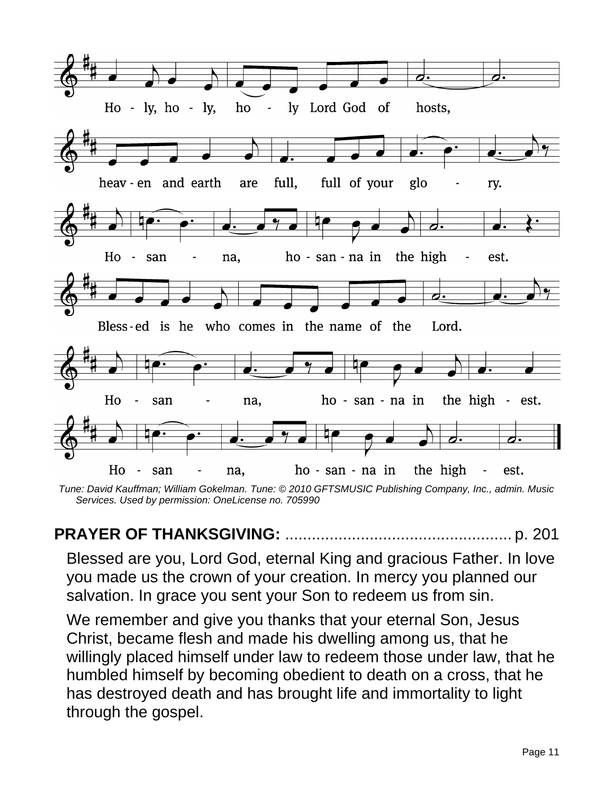

*Tune: David Kauffman; William Gokelman. Tune: © 2010 GFTSMUSIC Publishing Company, Inc., admin. Music Services. Used by permission: OneLicense no. 705990*

# **PRAYER OF THANKSGIVING:** ................................................... p. 201

Blessed are you, Lord God, eternal King and gracious Father. In love you made us the crown of your creation. In mercy you planned our salvation. In grace you sent your Son to redeem us from sin.

We remember and give you thanks that your eternal Son, Jesus Christ, became flesh and made his dwelling among us, that he willingly placed himself under law to redeem those under law, that he humbled himself by becoming obedient to death on a cross, that he has destroyed death and has brought life and immortality to light through the gospel.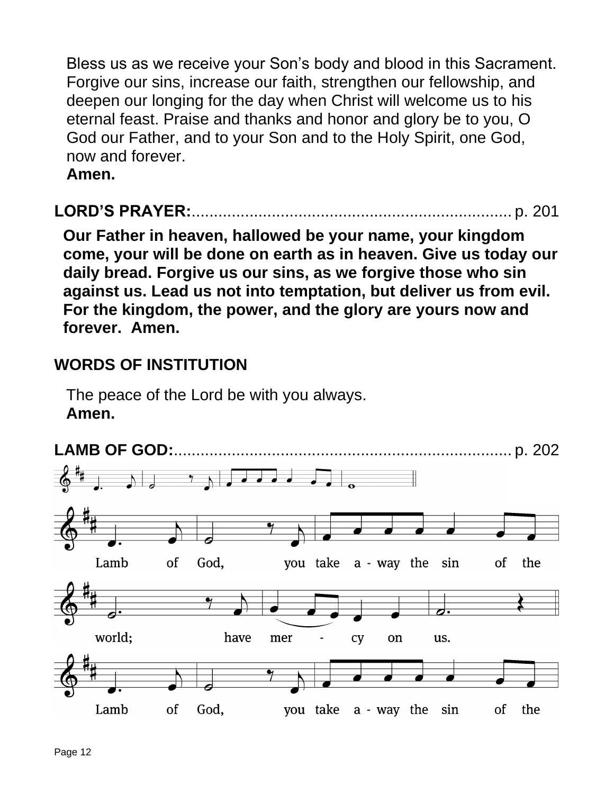Bless us as we receive your Son's body and blood in this Sacrament. Forgive our sins, increase our faith, strengthen our fellowship, and deepen our longing for the day when Christ will welcome us to his eternal feast. Praise and thanks and honor and glory be to you, O God our Father, and to your Son and to the Holy Spirit, one God, now and forever.

**Amen.**

# **LORD'S PRAYER:**........................................................................ p. 201

**Our Father in heaven, hallowed be your name, your kingdom come, your will be done on earth as in heaven. Give us today our daily bread. Forgive us our sins, as we forgive those who sin against us. Lead us not into temptation, but deliver us from evil. For the kingdom, the power, and the glory are yours now and forever. Amen.**

# **WORDS OF INSTITUTION**

The peace of the Lord be with you always. **Amen.**

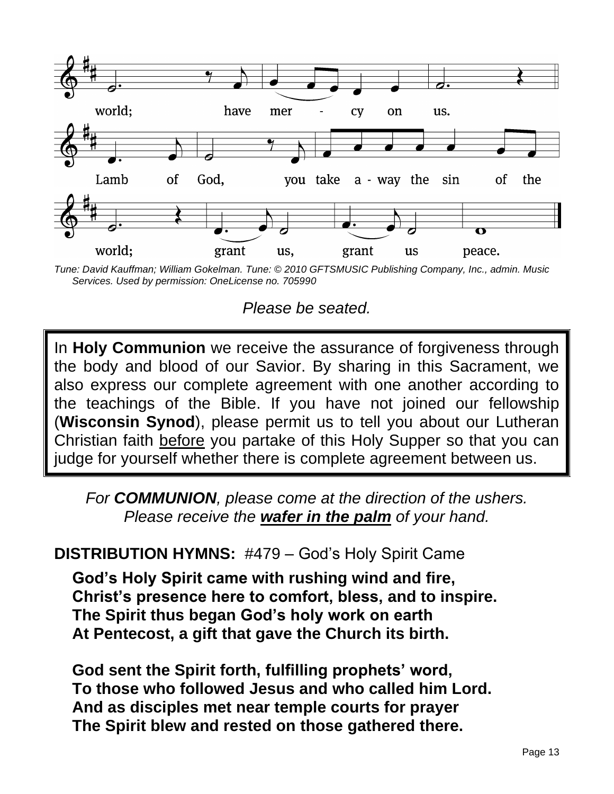

*Tune: David Kauffman; William Gokelman. Tune: © 2010 GFTSMUSIC Publishing Company, Inc., admin. Music Services. Used by permission: OneLicense no. 705990*

*Please be seated.*

In **Holy Communion** we receive the assurance of forgiveness through the body and blood of our Savior. By sharing in this Sacrament, we also express our complete agreement with one another according to the teachings of the Bible. If you have not joined our fellowship (**Wisconsin Synod**), please permit us to tell you about our Lutheran Christian faith before you partake of this Holy Supper so that you can judge for yourself whether there is complete agreement between us.

*For COMMUNION, please come at the direction of the ushers. Please receive the wafer in the palm of your hand.*

### **DISTRIBUTION HYMNS:** #479 – God's Holy Spirit Came

**God's Holy Spirit came with rushing wind and fire, Christ's presence here to comfort, bless, and to inspire. The Spirit thus began God's holy work on earth At Pentecost, a gift that gave the Church its birth.**

**God sent the Spirit forth, fulfilling prophets' word, To those who followed Jesus and who called him Lord. And as disciples met near temple courts for prayer The Spirit blew and rested on those gathered there.**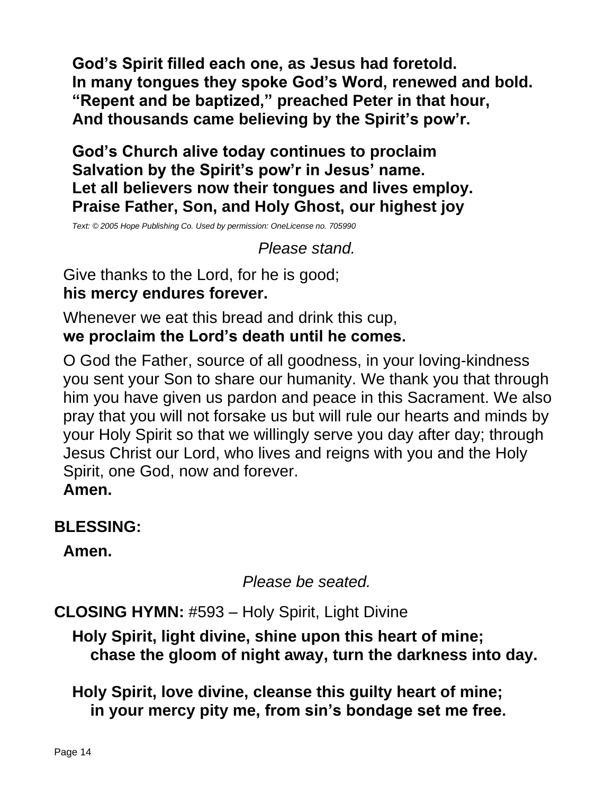**God's Spirit filled each one, as Jesus had foretold. In many tongues they spoke God's Word, renewed and bold. "Repent and be baptized," preached Peter in that hour, And thousands came believing by the Spirit's pow'r.**

**God's Church alive today continues to proclaim Salvation by the Spirit's pow'r in Jesus' name. Let all believers now their tongues and lives employ. Praise Father, Son, and Holy Ghost, our highest joy**

*Text: © 2005 Hope Publishing Co. Used by permission: OneLicense no. 705990*

*Please stand.*

Give thanks to the Lord, for he is good; **his mercy endures forever.**

Whenever we eat this bread and drink this cup, **we proclaim the Lord's death until he comes.**

O God the Father, source of all goodness, in your loving-kindness you sent your Son to share our humanity. We thank you that through him you have given us pardon and peace in this Sacrament. We also pray that you will not forsake us but will rule our hearts and minds by your Holy Spirit so that we willingly serve you day after day; through Jesus Christ our Lord, who lives and reigns with you and the Holy Spirit, one God, now and forever.

**Amen.**

# **BLESSING:**

**Amen.**

*Please be seated.*

**CLOSING HYMN:** #593 – Holy Spirit, Light Divine

**Holy Spirit, light divine, shine upon this heart of mine; chase the gloom of night away, turn the darkness into day.**

**Holy Spirit, love divine, cleanse this guilty heart of mine; in your mercy pity me, from sin's bondage set me free.**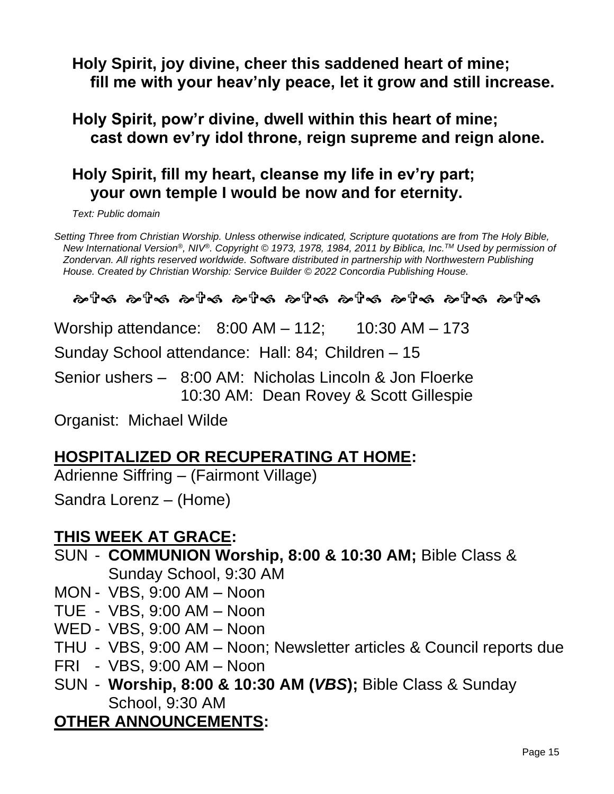# **Holy Spirit, joy divine, cheer this saddened heart of mine; fill me with your heav'nly peace, let it grow and still increase.**

#### **Holy Spirit, pow'r divine, dwell within this heart of mine; cast down ev'ry idol throne, reign supreme and reign alone.**

## **Holy Spirit, fill my heart, cleanse my life in ev'ry part; your own temple I would be now and for eternity.**

*Text: Public domain*

*Setting Three from Christian Worship. Unless otherwise indicated, Scripture quotations are from The Holy Bible, New International Version®, NIV®. Copyright © 1973, 1978, 1984, 2011 by Biblica, Inc.TM Used by permission of Zondervan. All rights reserved worldwide. Software distributed in partnership with Northwestern Publishing House. Created by Christian Worship: Service Builder © 2022 Concordia Publishing House.*

#### රා මේ කාර්ය කාර්ය කාර්ය කාර්ය කාර්ය කාර්ය කාර්ය

Worship attendance: 8:00 AM – 112; 10:30 AM – 173 Sunday School attendance: Hall: 84; Children – 15 Senior ushers – 8:00 AM: Nicholas Lincoln & Jon Floerke 10:30 AM: Dean Rovey & Scott Gillespie

Organist: Michael Wilde

# **HOSPITALIZED OR RECUPERATING AT HOME:**

Adrienne Siffring – (Fairmont Village)

Sandra Lorenz – (Home)

### **THIS WEEK AT GRACE:**

- SUN **COMMUNION Worship, 8:00 & 10:30 AM;** Bible Class & Sunday School, 9:30 AM
- MON VBS, 9:00 AM Noon
- TUE VBS, 9:00 AM Noon
- WED VBS, 9:00 AM Noon
- THU VBS, 9:00 AM Noon; Newsletter articles & Council reports due
- FRI VBS, 9:00 AM Noon
- SUN **Worship, 8:00 & 10:30 AM (***VBS***);** Bible Class & Sunday School, 9:30 AM

### **OTHER ANNOUNCEMENTS:**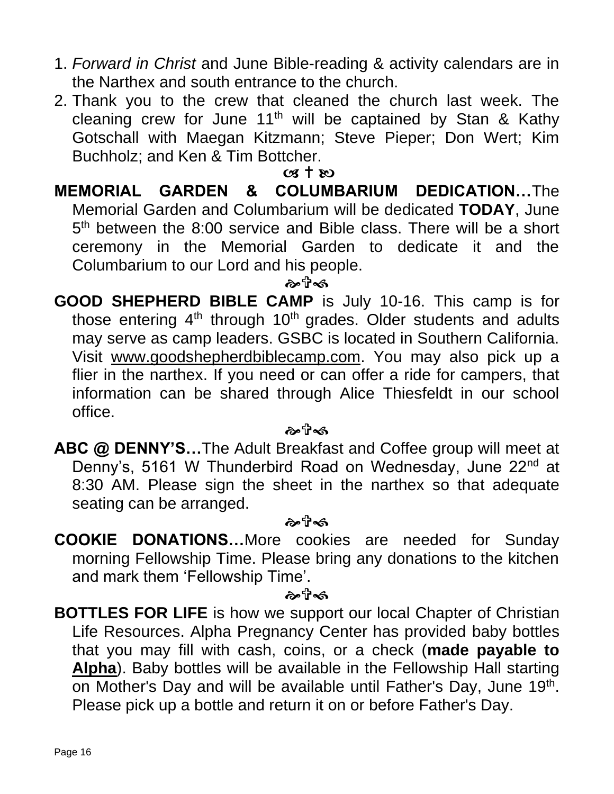- 1. *Forward in Christ* and June Bible-reading & activity calendars are in the Narthex and south entrance to the church.
- 2. Thank you to the crew that cleaned the church last week. The cleaning crew for June  $11<sup>th</sup>$  will be captained by Stan & Kathy Gotschall with Maegan Kitzmann; Steve Pieper; Don Wert; Kim Buchholz; and Ken & Tim Bottcher.

#### $(98 + 80)$

**MEMORIAL GARDEN & COLUMBARIUM DEDICATION…**The Memorial Garden and Columbarium will be dedicated **TODAY**, June 5<sup>th</sup> between the 8:00 service and Bible class. There will be a short ceremony in the Memorial Garden to dedicate it and the Columbarium to our Lord and his people.

#### ๛๚ิ∞

**GOOD SHEPHERD BIBLE CAMP** is July 10-16. This camp is for those entering 4<sup>th</sup> through 10<sup>th</sup> grades. Older students and adults may serve as camp leaders. GSBC is located in Southern California. Visit [www.goodshepherdbiblecamp.com.](http://www.goodshepherdbiblecamp.com/) You may also pick up a flier in the narthex. If you need or can offer a ride for campers, that information can be shared through Alice Thiesfeldt in our school office.

#### ๛๚ิ∞

**ABC @ DENNY'S…**The Adult Breakfast and Coffee group will meet at Denny's, 5161 W Thunderbird Road on Wednesday, June 22<sup>nd</sup> at 8:30 AM. Please sign the sheet in the narthex so that adequate seating can be arranged.

#### ஃிஃ

**COOKIE DONATIONS…**More cookies are needed for Sunday morning Fellowship Time. Please bring any donations to the kitchen and mark them 'Fellowship Time'.

#### ஒ⊤ி்கி

**BOTTLES FOR LIFE** is how we support our local Chapter of Christian Life Resources. Alpha Pregnancy Center has provided baby bottles that you may fill with cash, coins, or a check (**made payable to Alpha**). Baby bottles will be available in the Fellowship Hall starting on Mother's Day and will be available until Father's Day, June 19<sup>th</sup>. Please pick up a bottle and return it on or before Father's Day.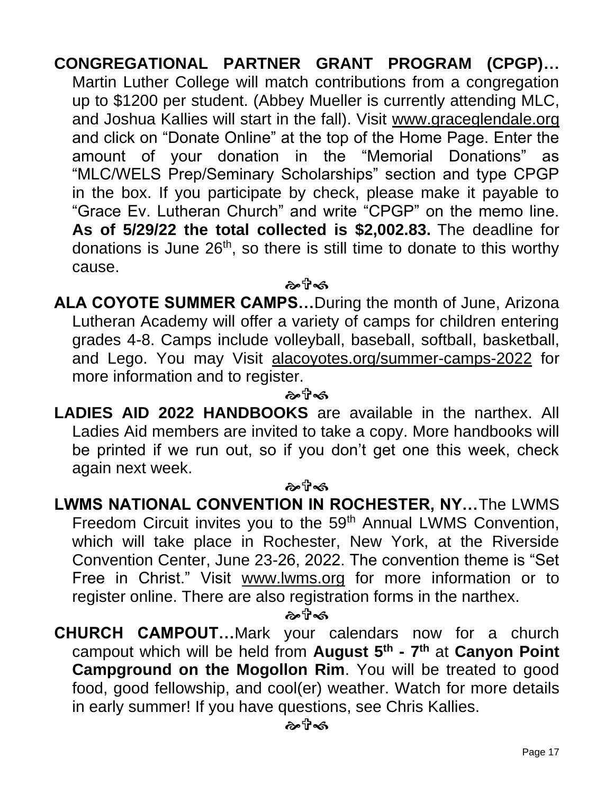**CONGREGATIONAL PARTNER GRANT PROGRAM (CPGP)…**  Martin Luther College will match contributions from a congregation up to \$1200 per student. (Abbey Mueller is currently attending MLC, and Joshua Kallies will start in the fall). Visit [www.graceglendale.org](http://www.graceglendale.org/) and click on "Donate Online" at the top of the Home Page. Enter the amount of your donation in the "Memorial Donations" as "MLC/WELS Prep/Seminary Scholarships" section and type CPGP in the box. If you participate by check, please make it payable to "Grace Ev. Lutheran Church" and write "CPGP" on the memo line. **As of 5/29/22 the total collected is \$2,002.83.** The deadline for donations is June  $26<sup>th</sup>$ , so there is still time to donate to this worthy cause.

ゐ ปี∙๑

**ALA COYOTE SUMMER CAMPS…**During the month of June, Arizona Lutheran Academy will offer a variety of camps for children entering grades 4-8. Camps include volleyball, baseball, softball, basketball, and Lego. You may Visit [alacoyotes.org/summer-camps-2022](http://alacoyotes.org/summer-camps-2022) for more information and to register.

ஃி≼ி

**LADIES AID 2022 HANDBOOKS** are available in the narthex. All Ladies Aid members are invited to take a copy. More handbooks will be printed if we run out, so if you don't get one this week, check again next week.

ক্ষটি≪

**LWMS NATIONAL CONVENTION IN ROCHESTER, NY…**The LWMS Freedom Circuit invites you to the 59<sup>th</sup> Annual LWMS Convention, which will take place in Rochester, New York, at the Riverside Convention Center, June 23-26, 2022. The convention theme is "Set Free in Christ." Visit [www.lwms.org](http://www.lwms.org/) for more information or to register online. There are also registration forms in the narthex.

ஒரிக்

**CHURCH CAMPOUT…**Mark your calendars now for a church campout which will be held from **August 5th - 7 th** at **Canyon Point Campground on the Mogollon Rim**. You will be treated to good food, good fellowship, and cool(er) weather. Watch for more details in early summer! If you have questions, see Chris Kallies.